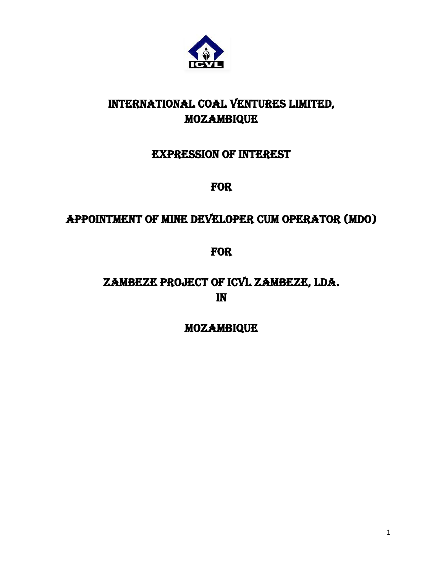

# INTERNATIONAL COAL VENTURES LIMITED, MOZAMBIQUE

## EXPRESSION OF INTEREST

## FOR

# APPOINTMENT OF MINE DEVELOPER CUM OPERATOR (MDO)

## FOR

# ZAMBEZE PROJECT OF ICVL ZAMBEZE, LDA. IN

### MOZAMBIQUE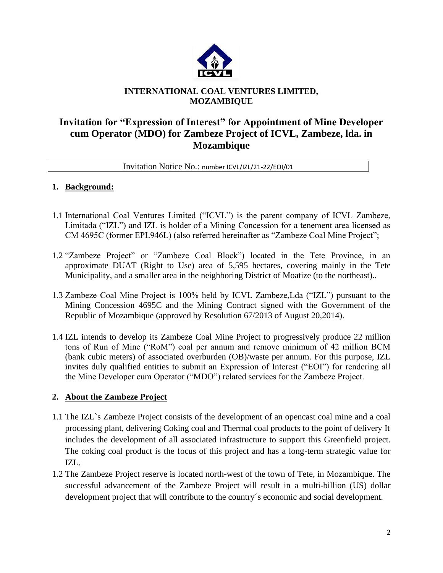

### **INTERNATIONAL COAL VENTURES LIMITED, MOZAMBIQUE**

### **Invitation for "Expression of Interest" for Appointment of Mine Developer cum Operator (MDO) for Zambeze Project of ICVL, Zambeze, lda. in Mozambique**

#### Invitation Notice No.: number ICVL/IZL/21-22/EOI/01

#### **1. Background:**

- 1.1 International Coal Ventures Limited ("ICVL") is the parent company of ICVL Zambeze, Limitada ("IZL") and IZL is holder of a Mining Concession for a tenement area licensed as CM 4695C (former EPL946L) (also referred hereinafter as "Zambeze Coal Mine Project";
- 1.2 "Zambeze Project" or "Zambeze Coal Block") located in the Tete Province, in an approximate DUAT (Right to Use) area of 5,595 hectares, covering mainly in the Tete Municipality, and a smaller area in the neighboring District of Moatize (to the northeast)..
- 1.3 Zambeze Coal Mine Project is 100% held by ICVL Zambeze,Lda ("IZL") pursuant to the Mining Concession 4695C and the Mining Contract signed with the Government of the Republic of Mozambique (approved by Resolution 67/2013 of August 20,2014).
- 1.4 IZL intends to develop its Zambeze Coal Mine Project to progressively produce 22 million tons of Run of Mine ("RoM") coal per annum and remove minimum of 42 million BCM (bank cubic meters) of associated overburden (OB)/waste per annum. For this purpose, IZL invites duly qualified entities to submit an Expression of Interest ("EOI") for rendering all the Mine Developer cum Operator ("MDO") related services for the Zambeze Project.

### **2. About the Zambeze Project**

- 1.1 The IZL`s Zambeze Project consists of the development of an opencast coal mine and a coal processing plant, delivering Coking coal and Thermal coal products to the point of delivery It includes the development of all associated infrastructure to support this Greenfield project. The coking coal product is the focus of this project and has a long-term strategic value for IZL.
- 1.2 The Zambeze Project reserve is located north-west of the town of Tete, in Mozambique. The successful advancement of the Zambeze Project will result in a multi-billion (US) dollar development project that will contribute to the country´s economic and social development.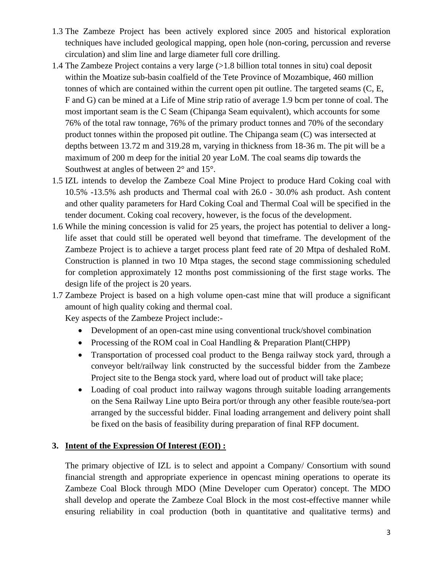- 1.3 The Zambeze Project has been actively explored since 2005 and historical exploration techniques have included geological mapping, open hole (non-coring, percussion and reverse circulation) and slim line and large diameter full core drilling.
- 1.4 The Zambeze Project contains a very large (>1.8 billion total tonnes in situ) coal deposit within the Moatize sub-basin coalfield of the Tete Province of Mozambique, 460 million tonnes of which are contained within the current open pit outline. The targeted seams (C, E, F and G) can be mined at a Life of Mine strip ratio of average 1.9 bcm per tonne of coal. The most important seam is the C Seam (Chipanga Seam equivalent), which accounts for some 76% of the total raw tonnage, 76% of the primary product tonnes and 70% of the secondary product tonnes within the proposed pit outline. The Chipanga seam (C) was intersected at depths between 13.72 m and 319.28 m, varying in thickness from 18-36 m. The pit will be a maximum of 200 m deep for the initial 20 year LoM. The coal seams dip towards the Southwest at angles of between  $2^{\circ}$  and  $15^{\circ}$ .
- 1.5 IZL intends to develop the Zambeze Coal Mine Project to produce Hard Coking coal with 10.5% -13.5% ash products and Thermal coal with 26.0 - 30.0% ash product. Ash content and other quality parameters for Hard Coking Coal and Thermal Coal will be specified in the tender document. Coking coal recovery, however, is the focus of the development.
- 1.6 While the mining concession is valid for 25 years, the project has potential to deliver a longlife asset that could still be operated well beyond that timeframe. The development of the Zambeze Project is to achieve a target process plant feed rate of 20 Mtpa of deshaled RoM. Construction is planned in two 10 Mtpa stages, the second stage commissioning scheduled for completion approximately 12 months post commissioning of the first stage works. The design life of the project is 20 years.
- 1.7 Zambeze Project is based on a high volume open-cast mine that will produce a significant amount of high quality coking and thermal coal.

Key aspects of the Zambeze Project include:-

- Development of an open-cast mine using conventional truck/shovel combination
- Processing of the ROM coal in Coal Handling & Preparation Plant(CHPP)
- Transportation of processed coal product to the Benga railway stock yard, through a conveyor belt/railway link constructed by the successful bidder from the Zambeze Project site to the Benga stock yard, where load out of product will take place;
- Loading of coal product into railway wagons through suitable loading arrangements on the Sena Railway Line upto Beira port/or through any other feasible route/sea-port arranged by the successful bidder. Final loading arrangement and delivery point shall be fixed on the basis of feasibility during preparation of final RFP document.

#### **3. Intent of the Expression Of Interest (EOI) :**

The primary objective of IZL is to select and appoint a Company/ Consortium with sound financial strength and appropriate experience in opencast mining operations to operate its Zambeze Coal Block through MDO (Mine Developer cum Operator) concept. The MDO shall develop and operate the Zambeze Coal Block in the most cost-effective manner while ensuring reliability in coal production (both in quantitative and qualitative terms) and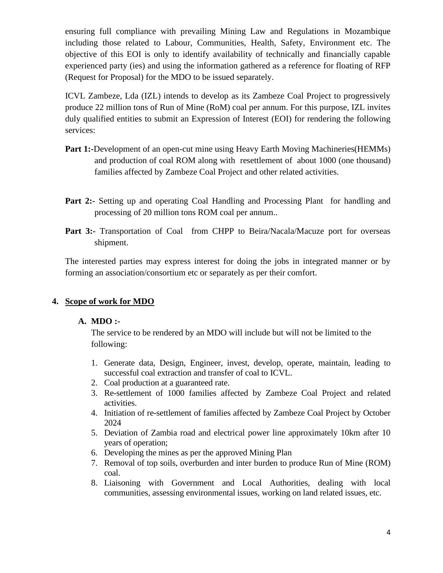ensuring full compliance with prevailing Mining Law and Regulations in Mozambique including those related to Labour, Communities, Health, Safety, Environment etc. The objective of this EOI is only to identify availability of technically and financially capable experienced party (ies) and using the information gathered as a reference for floating of RFP (Request for Proposal) for the MDO to be issued separately.

ICVL Zambeze, Lda (IZL) intends to develop as its Zambeze Coal Project to progressively produce 22 million tons of Run of Mine (RoM) coal per annum. For this purpose, IZL invites duly qualified entities to submit an Expression of Interest (EOI) for rendering the following services:

- **Part 1:-**Development of an open-cut mine using Heavy Earth Moving Machineries (HEMMs) and production of coal ROM along with resettlement of about 1000 (one thousand) families affected by Zambeze Coal Project and other related activities.
- **Part 2:-** Setting up and operating Coal Handling and Processing Plant for handling and processing of 20 million tons ROM coal per annum..
- Part 3:- Transportation of Coal from CHPP to Beira/Nacala/Macuze port for overseas shipment.

The interested parties may express interest for doing the jobs in integrated manner or by forming an association/consortium etc or separately as per their comfort.

### **4. Scope of work for MDO**

#### **A. MDO :-**

The service to be rendered by an MDO will include but will not be limited to the following:

- 1. Generate data, Design, Engineer, invest, develop, operate, maintain, leading to successful coal extraction and transfer of coal to ICVL.
- 2. Coal production at a guaranteed rate.
- 3. Re-settlement of 1000 families affected by Zambeze Coal Project and related activities.
- 4. Initiation of re-settlement of families affected by Zambeze Coal Project by October 2024
- 5. Deviation of Zambia road and electrical power line approximately 10km after 10 years of operation;
- 6. Developing the mines as per the approved Mining Plan
- 7. Removal of top soils, overburden and inter burden to produce Run of Mine (ROM) coal.
- 8. Liaisoning with Government and Local Authorities, dealing with local communities, assessing environmental issues, working on land related issues, etc.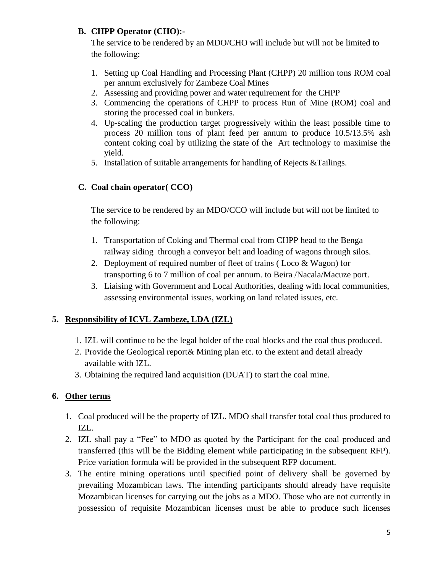### **B. CHPP Operator (CHO):-**

The service to be rendered by an MDO/CHO will include but will not be limited to the following:

- 1. Setting up Coal Handling and Processing Plant (CHPP) 20 million tons ROM coal per annum exclusively for Zambeze Coal Mines
- 2. Assessing and providing power and water requirement for the CHPP
- 3. Commencing the operations of CHPP to process Run of Mine (ROM) coal and storing the processed coal in bunkers.
- 4. Up-scaling the production target progressively within the least possible time to process 20 million tons of plant feed per annum to produce 10.5/13.5% ash content coking coal by utilizing the state of the Art technology to maximise the yield.
- 5. Installation of suitable arrangements for handling of Rejects &Tailings.

### **C. Coal chain operator( CCO)**

The service to be rendered by an MDO/CCO will include but will not be limited to the following:

- 1. Transportation of Coking and Thermal coal from CHPP head to the Benga railway siding through a conveyor belt and loading of wagons through silos.
- 2. Deployment of required number of fleet of trains ( Loco & Wagon) for transporting 6 to 7 million of coal per annum. to Beira /Nacala/Macuze port.
- 3. Liaising with Government and Local Authorities, dealing with local communities, assessing environmental issues, working on land related issues, etc.

### **5. Responsibility of ICVL Zambeze, LDA (IZL)**

- 1. IZL will continue to be the legal holder of the coal blocks and the coal thus produced.
- 2. Provide the Geological report& Mining plan etc. to the extent and detail already available with IZL.
- 3. Obtaining the required land acquisition (DUAT) to start the coal mine.

### **6. Other terms**

- 1. Coal produced will be the property of IZL. MDO shall transfer total coal thus produced to IZL.
- 2. IZL shall pay a "Fee" to MDO as quoted by the Participant for the coal produced and transferred (this will be the Bidding element while participating in the subsequent RFP). Price variation formula will be provided in the subsequent RFP document.
- 3. The entire mining operations until specified point of delivery shall be governed by prevailing Mozambican laws. The intending participants should already have requisite Mozambican licenses for carrying out the jobs as a MDO. Those who are not currently in possession of requisite Mozambican licenses must be able to produce such licenses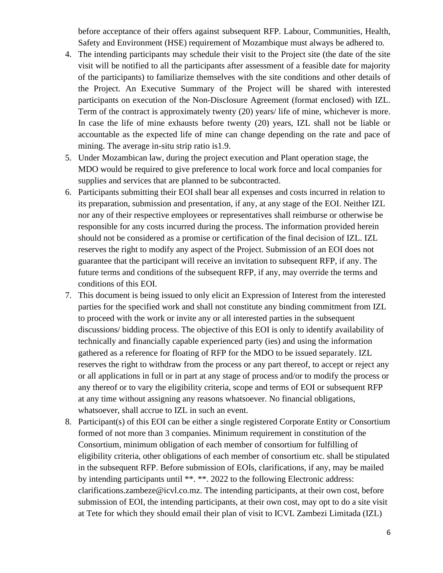before acceptance of their offers against subsequent RFP. Labour, Communities, Health, Safety and Environment (HSE) requirement of Mozambique must always be adhered to.

- 4. The intending participants may schedule their visit to the Project site (the date of the site visit will be notified to all the participants after assessment of a feasible date for majority of the participants) to familiarize themselves with the site conditions and other details of the Project. An Executive Summary of the Project will be shared with interested participants on execution of the Non-Disclosure Agreement (format enclosed) with IZL. Term of the contract is approximately twenty (20) years/ life of mine, whichever is more. In case the life of mine exhausts before twenty (20) years, IZL shall not be liable or accountable as the expected life of mine can change depending on the rate and pace of mining. The average in-situ strip ratio is1.9.
- 5. Under Mozambican law, during the project execution and Plant operation stage, the MDO would be required to give preference to local work force and local companies for supplies and services that are planned to be subcontracted.
- 6. Participants submitting their EOI shall bear all expenses and costs incurred in relation to its preparation, submission and presentation, if any, at any stage of the EOI. Neither IZL nor any of their respective employees or representatives shall reimburse or otherwise be responsible for any costs incurred during the process. The information provided herein should not be considered as a promise or certification of the final decision of IZL. IZL reserves the right to modify any aspect of the Project. Submission of an EOI does not guarantee that the participant will receive an invitation to subsequent RFP, if any. The future terms and conditions of the subsequent RFP, if any, may override the terms and conditions of this EOI.
- 7. This document is being issued to only elicit an Expression of Interest from the interested parties for the specified work and shall not constitute any binding commitment from IZL to proceed with the work or invite any or all interested parties in the subsequent discussions/ bidding process. The objective of this EOI is only to identify availability of technically and financially capable experienced party (ies) and using the information gathered as a reference for floating of RFP for the MDO to be issued separately. IZL reserves the right to withdraw from the process or any part thereof, to accept or reject any or all applications in full or in part at any stage of process and/or to modify the process or any thereof or to vary the eligibility criteria, scope and terms of EOI or subsequent RFP at any time without assigning any reasons whatsoever. No financial obligations, whatsoever, shall accrue to IZL in such an event.
- 8. Participant(s) of this EOI can be either a single registered Corporate Entity or Consortium formed of not more than 3 companies. Minimum requirement in constitution of the Consortium, minimum obligation of each member of consortium for fulfilling of eligibility criteria, other obligations of each member of consortium etc. shall be stipulated in the subsequent RFP. Before submission of EOIs, clarifications, if any, may be mailed by intending participants until \*\*. \*\*. 2022 to the following Electronic address: clarifications.zambeze@icvl.co.mz. The intending participants, at their own cost, before submission of EOI, the intending participants, at their own cost, may opt to do a site visit at Tete for which they should email their plan of visit to ICVL Zambezi Limitada (IZL)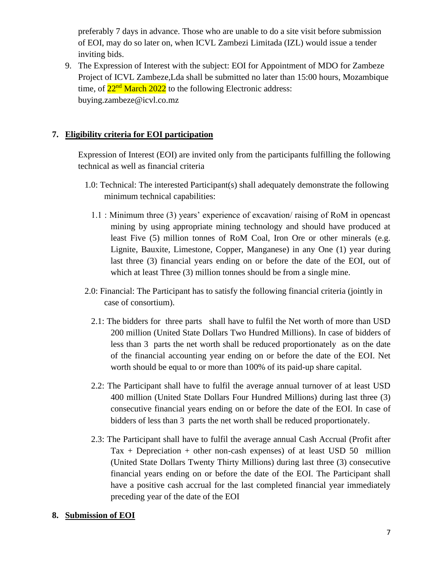preferably 7 days in advance. Those who are unable to do a site visit before submission of EOI, may do so later on, when ICVL Zambezi Limitada (IZL) would issue a tender inviting bids.

9. The Expression of Interest with the subject: EOI for Appointment of MDO for Zambeze Project of ICVL Zambeze,Lda shall be submitted no later than 15:00 hours, Mozambique time, of  $22<sup>nd</sup>$  March 2022 to the following Electronic address: [buying.zambeze@icvl.co.mz](mailto:buying.zambeze@icvl.co.mz)

#### **7. Eligibility criteria for EOI participation**

Expression of Interest (EOI) are invited only from the participants fulfilling the following technical as well as financial criteria

- 1.0: Technical: The interested Participant(s) shall adequately demonstrate the following minimum technical capabilities:
	- 1.1 : Minimum three (3) years' experience of excavation/ raising of RoM in opencast mining by using appropriate mining technology and should have produced at least Five (5) million tonnes of RoM Coal, Iron Ore or other minerals (e.g. Lignite, Bauxite, Limestone, Copper, Manganese) in any One (1) year during last three (3) financial years ending on or before the date of the EOI, out of which at least Three (3) million tonnes should be from a single mine.
- 2.0: Financial: The Participant has to satisfy the following financial criteria (jointly in case of consortium).
	- 2.1: The bidders for three parts shall have to fulfil the Net worth of more than USD 200 million (United State Dollars Two Hundred Millions). In case of bidders of less than 3 parts the net worth shall be reduced proportionately as on the date of the financial accounting year ending on or before the date of the EOI. Net worth should be equal to or more than 100% of its paid-up share capital.
	- 2.2: The Participant shall have to fulfil the average annual turnover of at least USD 400 million (United State Dollars Four Hundred Millions) during last three (3) consecutive financial years ending on or before the date of the EOI. In case of bidders of less than 3 parts the net worth shall be reduced proportionately.
	- 2.3: The Participant shall have to fulfil the average annual Cash Accrual (Profit after Tax + Depreciation + other non-cash expenses) of at least USD 50 million (United State Dollars Twenty Thirty Millions) during last three (3) consecutive financial years ending on or before the date of the EOI. The Participant shall have a positive cash accrual for the last completed financial year immediately preceding year of the date of the EOI

#### **8. Submission of EOI**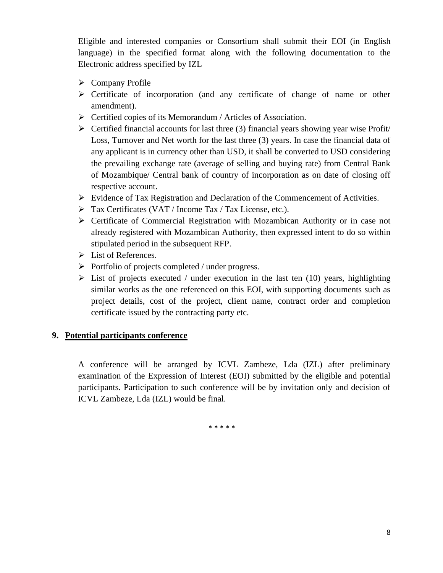Eligible and interested companies or Consortium shall submit their EOI (in English language) in the specified format along with the following documentation to the Electronic address specified by IZL

- ➢ Company Profile
- ➢ Certificate of incorporation (and any certificate of change of name or other amendment).
- ➢ Certified copies of its Memorandum / Articles of Association.
- $\triangleright$  Certified financial accounts for last three (3) financial years showing year wise Profit Loss, Turnover and Net worth for the last three (3) years. In case the financial data of any applicant is in currency other than USD, it shall be converted to USD considering the prevailing exchange rate (average of selling and buying rate) from Central Bank of Mozambique/ Central bank of country of incorporation as on date of closing off respective account.
- $\triangleright$  Evidence of Tax Registration and Declaration of the Commencement of Activities.
- ➢ Tax Certificates (VAT / Income Tax / Tax License, etc.).
- ➢ Certificate of Commercial Registration with Mozambican Authority or in case not already registered with Mozambican Authority, then expressed intent to do so within stipulated period in the subsequent RFP.
- ➢ List of References.
- ➢ Portfolio of projects completed / under progress.
- $\triangleright$  List of projects executed / under execution in the last ten (10) years, highlighting similar works as the one referenced on this EOI, with supporting documents such as project details, cost of the project, client name, contract order and completion certificate issued by the contracting party etc.

#### **9. Potential participants conference**

A conference will be arranged by ICVL Zambeze, Lda (IZL) after preliminary examination of the Expression of Interest (EOI) submitted by the eligible and potential participants. Participation to such conference will be by invitation only and decision of ICVL Zambeze, Lda (IZL) would be final.

\* \* \* \* \*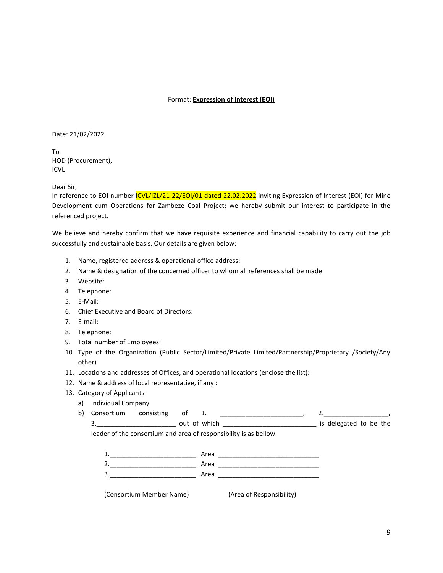#### Format: **Expression of Interest (EOI)**

Date: 21/02/2022

To HOD (Procurement), ICVL

Dear Sir,

In reference to EOI number *ICVL/IZL/21-22/EOI/01 dated 22.02.2022* inviting Expression of Interest (EOI) for Mine Development cum Operations for Zambeze Coal Project; we hereby submit our interest to participate in the referenced project.

We believe and hereby confirm that we have requisite experience and financial capability to carry out the job successfully and sustainable basis. Our details are given below:

- 1. Name, registered address & operational office address:
- 2. Name & designation of the concerned officer to whom all references shall be made:
- 3. Website:
- 4. Telephone:
- 5. E-Mail:
- 6. Chief Executive and Board of Directors:
- 7. E-mail:
- 8. Telephone:
- 9. Total number of Employees:
- 10. Type of the Organization (Public Sector/Limited/Private Limited/Partnership/Proprietary /Society/Any other)
- 11. Locations and addresses of Offices, and operational locations (enclose the list):
- 12. Name & address of local representative, if any :
- 13. Category of Applicants
	- a) Individual Company
	- b) Consortium consisting of 1.  $\qquad \qquad$  2.

3. and the sout of which the set of the set of the set of which  $\frac{1}{2}$  is delegated to be the

leader of the consortium and area of responsibility is as bellow.

| 1. | Area |
|----|------|
| 2. | Area |
| 3. | Area |

(Consortium Member Name) (Area of Responsibility)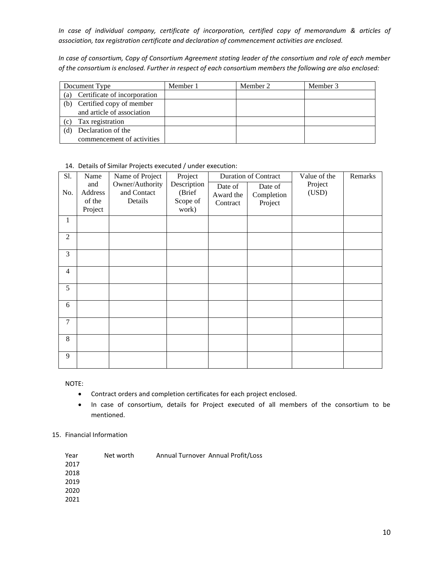*In case of individual company, certificate of incorporation, certified copy of memorandum & articles of association, tax registration certificate and declaration of commencement activities are enclosed.* 

*In case of consortium, Copy of Consortium Agreement stating leader of the consortium and role of each member of the consortium is enclosed. Further in respect of each consortium members the following are also enclosed:*

| Document Type                       |                            | Member 1 | Member 2 | Member 3 |
|-------------------------------------|----------------------------|----------|----------|----------|
| Certificate of incorporation<br>(a) |                            |          |          |          |
| (b)                                 | Certified copy of member   |          |          |          |
|                                     | and article of association |          |          |          |
| (c)                                 | Tax registration           |          |          |          |
|                                     | Declaration of the         |          |          |          |
|                                     | commencement of activities |          |          |          |

| Sl.            | Name                                | Name of Project                           | Project                                    | <b>Duration of Contract</b>      |                                  | Value of the     | Remarks |
|----------------|-------------------------------------|-------------------------------------------|--------------------------------------------|----------------------------------|----------------------------------|------------------|---------|
| No.            | and<br>Address<br>of the<br>Project | Owner/Authority<br>and Contact<br>Details | Description<br>(Brief<br>Scope of<br>work) | Date of<br>Award the<br>Contract | Date of<br>Completion<br>Project | Project<br>(USD) |         |
| $\mathbf{1}$   |                                     |                                           |                                            |                                  |                                  |                  |         |
| $\overline{2}$ |                                     |                                           |                                            |                                  |                                  |                  |         |
| 3              |                                     |                                           |                                            |                                  |                                  |                  |         |
| $\overline{4}$ |                                     |                                           |                                            |                                  |                                  |                  |         |
| 5              |                                     |                                           |                                            |                                  |                                  |                  |         |
| 6              |                                     |                                           |                                            |                                  |                                  |                  |         |
| $\tau$         |                                     |                                           |                                            |                                  |                                  |                  |         |
| 8              |                                     |                                           |                                            |                                  |                                  |                  |         |
| 9              |                                     |                                           |                                            |                                  |                                  |                  |         |

14. Details of Similar Projects executed / under execution:

NOTE:

- Contract orders and completion certificates for each project enclosed.
- In case of consortium, details for Project executed of all members of the consortium to be mentioned.

#### 15. Financial Information

| Year | Net worth | Annual Turnover Annual Profit/Loss |  |
|------|-----------|------------------------------------|--|
| 2017 |           |                                    |  |
| 2018 |           |                                    |  |
| 2019 |           |                                    |  |
| 2020 |           |                                    |  |
| 2021 |           |                                    |  |